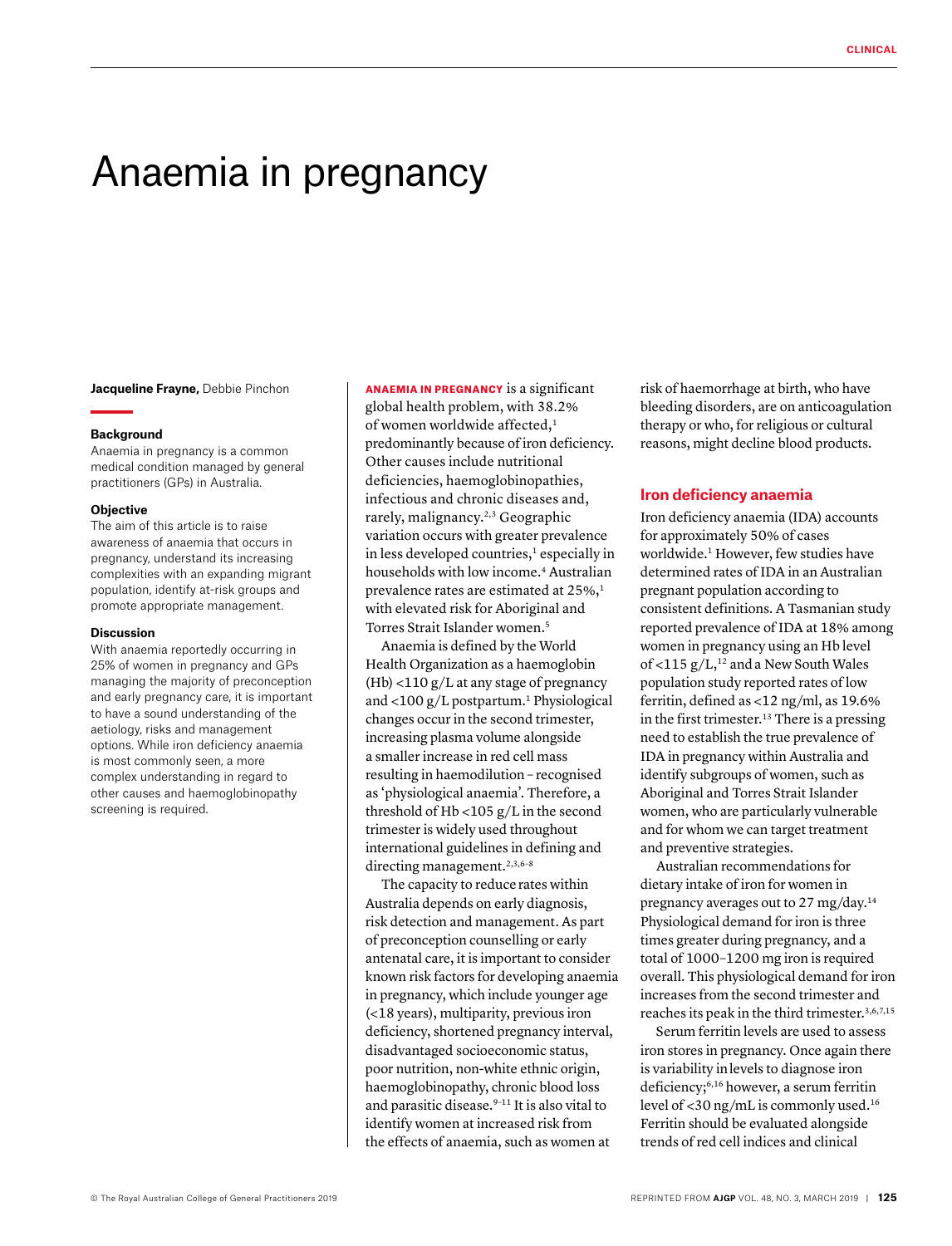# Anaemia in pregnancy

**Jacqueline Frayne, Debbie Pinchon** 

### **Background**

Anaemia in pregnancy is a common medical condition managed by general practitioners (GPs) in Australia.

## **Objective**

The aim of this article is to raise awareness of anaemia that occurs in pregnancy, understand its increasing complexities with an expanding migrant population, identify at-risk groups and promote appropriate management.

### **Discussion**

With anaemia reportedly occurring in 25% of women in pregnancy and GPs managing the majority of preconception and early pregnancy care, it is important to have a sound understanding of the aetiology, risks and management options. While iron deficiency anaemia is most commonly seen, a more complex understanding in regard to other causes and haemoglobinopathy screening is required.

ANAEMIA IN PREGNANCY is a significant global health problem, with 38.2% of women worldwide affected,<sup>1</sup> predominantly because of iron deficiency. Other causes include nutritional deficiencies, haemoglobinopathies, infectious and chronic diseases and, rarely, malignancy.2,3 Geographic variation occurs with greater prevalence in less developed countries,<sup>1</sup> especially in households with low income.4 Australian prevalence rates are estimated at 25%,<sup>1</sup> with elevated risk for Aboriginal and Torres Strait Islander women.5

Anaemia is defined by the World Health Organization as a haemoglobin (Hb) <110 g/L at any stage of pregnancy and  $<$ 100 g/L postpartum.<sup>1</sup> Physiological changes occur in the second trimester, increasing plasma volume alongside a smaller increase in red cell mass resulting in haemodilution – recognised as 'physiological anaemia'. Therefore, a threshold of Hb <105 g/L in the second trimester is widely used throughout international guidelines in defining and directing management.<sup>2,3,6-8</sup>

The capacity to reducerates within Australia depends on early diagnosis, risk detection and management. As part of preconception counselling or early antenatal care, it is important to consider known risk factors for developing anaemia in pregnancy, which include younger age (<18 years), multiparity, previous iron deficiency, shortened pregnancy interval, disadvantaged socioeconomic status, poor nutrition, non-white ethnic origin, haemoglobinopathy, chronic blood loss and parasitic disease.<sup>9-11</sup> It is also vital to identify women at increased risk from the effects of anaemia, such as women at

risk of haemorrhage at birth, who have bleeding disorders, are on anticoagulation therapy or who, for religious or cultural reasons, might decline blood products.

## **Iron deficiency anaemia**

Iron deficiency anaemia (IDA) accounts for approximately 50% of cases worldwide.1 However, few studies have determined rates of IDA in an Australian pregnant population according to consistent definitions. A Tasmanian study reported prevalence of IDA at 18% among women in pregnancy using an Hb level of <115  $g/L$ ,<sup>12</sup> and a New South Wales population study reported rates of low ferritin, defined as <12 ng/ml, as 19.6% in the first trimester.<sup>13</sup> There is a pressing need to establish the true prevalence of IDA in pregnancy within Australia and identify subgroups of women, such as Aboriginal and Torres Strait Islander women, who are particularly vulnerable and for whom we can target treatment and preventive strategies.

Australian recommendations for dietary intake of iron for women in pregnancy averages out to 27 mg/day.<sup>14</sup> Physiological demand for iron is three times greater during pregnancy, and a total of 1000–1200 mg iron is required overall. This physiological demand for iron increases from the second trimester and reaches its peak in the third trimester.<sup>3,6,7,15</sup>

Serum ferritin levels are used to assess iron stores in pregnancy. Once again there is variability inlevels to diagnose iron deficiency;6,16 however, a serum ferritin level of <30 ng/mL is commonly used.16 Ferritin should be evaluated alongside trends of red cell indices and clinical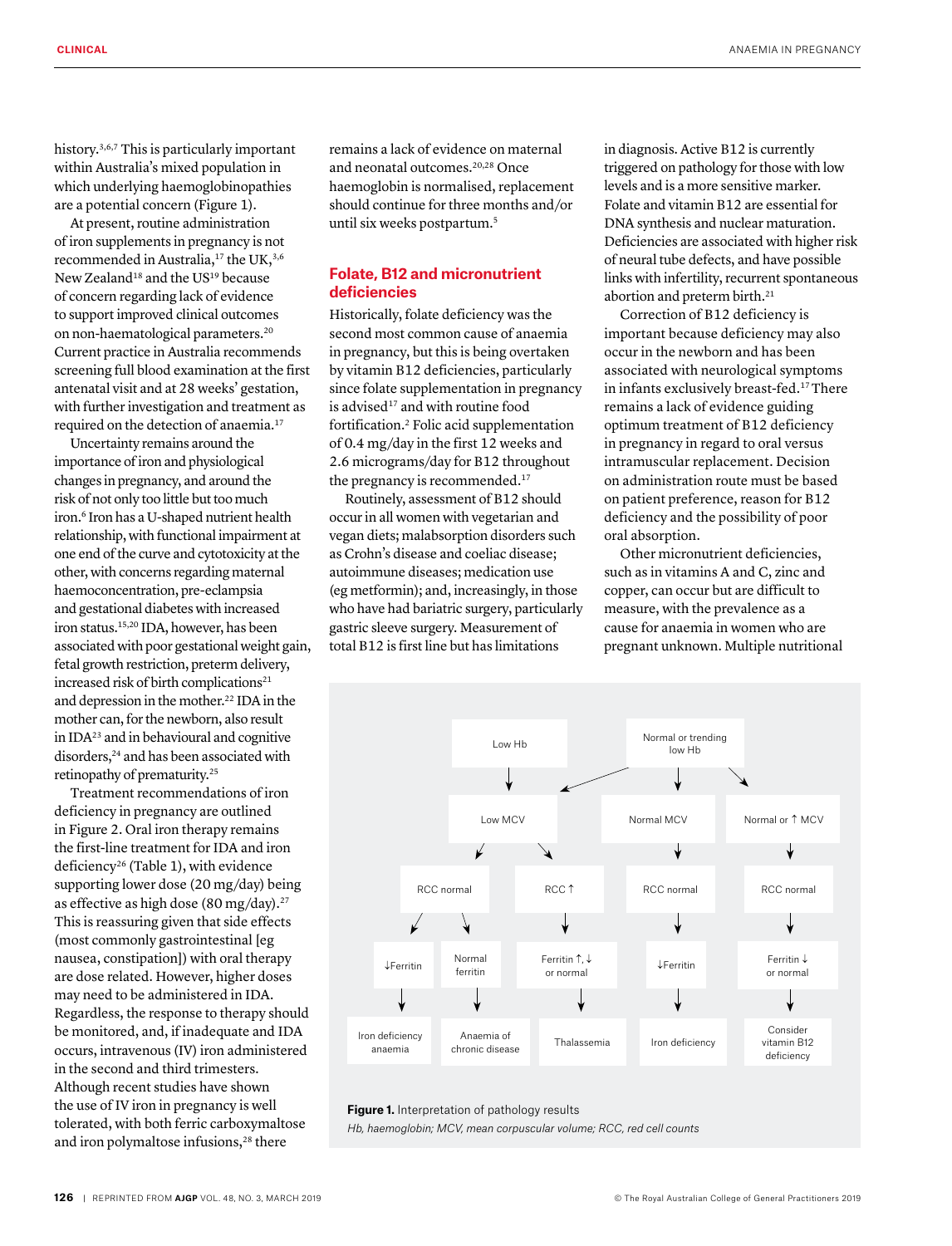history.<sup>3,6,7</sup> This is particularly important within Australia's mixed population in which underlying haemoglobinopathies are a potential concern (Figure 1).

At present, routine administration of iron supplements in pregnancy is not recommended in Australia,<sup>17</sup> the UK,<sup>3,6</sup> New Zealand<sup>18</sup> and the US<sup>19</sup> because of concern regarding lack of evidence to support improved clinical outcomes on non-haematological parameters.20 Current practice in Australia recommends screening full blood examination at the first antenatal visit and at 28 weeks' gestation, with further investigation and treatment as required on the detection of anaemia.17

Uncertainty remains around the importance of iron and physiological changes in pregnancy, and around the risk of not only too little but too much iron.<sup>6</sup> Iron has a U-shaped nutrient health relationship, with functional impairment at one end of the curve and cytotoxicity at the other, with concerns regarding maternal haemoconcentration, pre-eclampsia and gestational diabetes with increased iron status.15,20 IDA, however, has been associated with poor gestational weight gain, fetal growth restriction, preterm delivery, increased risk of birth complications<sup>21</sup> and depression in the mother.22 IDA in the mother can, for the newborn, also result in IDA23 and in behavioural and cognitive disorders,<sup>24</sup> and has been associated with retinopathy of prematurity.25

Treatment recommendations of iron deficiency in pregnancy are outlined in Figure 2. Oral iron therapy remains the first-line treatment for IDA and iron deficiency26 (Table 1), with evidence supporting lower dose (20 mg/day) being as effective as high dose (80 mg/day).<sup>27</sup> This is reassuring given that side effects (most commonly gastrointestinal [eg nausea, constipation]) with oral therapy are dose related. However, higher doses may need to be administered in IDA. Regardless, the response to therapy should be monitored, and, if inadequate and IDA occurs, intravenous (IV) iron administered in the second and third trimesters. Although recent studies have shown the use of IV iron in pregnancy is well tolerated, with both ferric carboxymaltose and iron polymaltose infusions,<sup>28</sup> there

remains a lack of evidence on maternal and neonatal outcomes.20,28 Once haemoglobin is normalised, replacement should continue for three months and/or until six weeks postpartum.5

# **Folate, B12 and micronutrient deficiencies**

Historically, folate deficiency was the second most common cause of anaemia in pregnancy, but this is being overtaken by vitamin B12 deficiencies, particularly since folate supplementation in pregnancy is advised<sup>17</sup> and with routine food fortification.2 Folic acid supplementation of 0.4 mg/day in the first 12 weeks and 2.6 micrograms/day for B12 throughout the pregnancy is recommended.<sup>17</sup>

Routinely, assessment of B12 should occur in all women with vegetarian and vegan diets; malabsorption disorders such as Crohn's disease and coeliac disease; autoimmune diseases; medication use (eg metformin); and, increasingly, in those who have had bariatric surgery, particularly gastric sleeve surgery. Measurement of total B12 is first line but has limitations

in diagnosis. Active B12 is currently triggered on pathology for those with low levels and is a more sensitive marker. Folate and vitamin B12 are essential for DNA synthesis and nuclear maturation. Deficiencies are associated with higher risk of neural tube defects, and have possible links with infertility, recurrent spontaneous abortion and preterm birth.<sup>21</sup>

Correction of B12 deficiency is important because deficiency may also occur in the newborn and has been associated with neurological symptoms in infants exclusively breast-fed.17 There remains a lack of evidence guiding optimum treatment of B12 deficiency in pregnancy in regard to oral versus intramuscular replacement. Decision on administration route must be based on patient preference, reason for B12 deficiency and the possibility of poor oral absorption.

Other micronutrient deficiencies, such as in vitamins A and C, zinc and copper, can occur but are difficult to measure, with the prevalence as a cause for anaemia in women who are pregnant unknown. Multiple nutritional



*Hb, haemoglobin; MCV, mean corpuscular volume; RCC, red cell counts*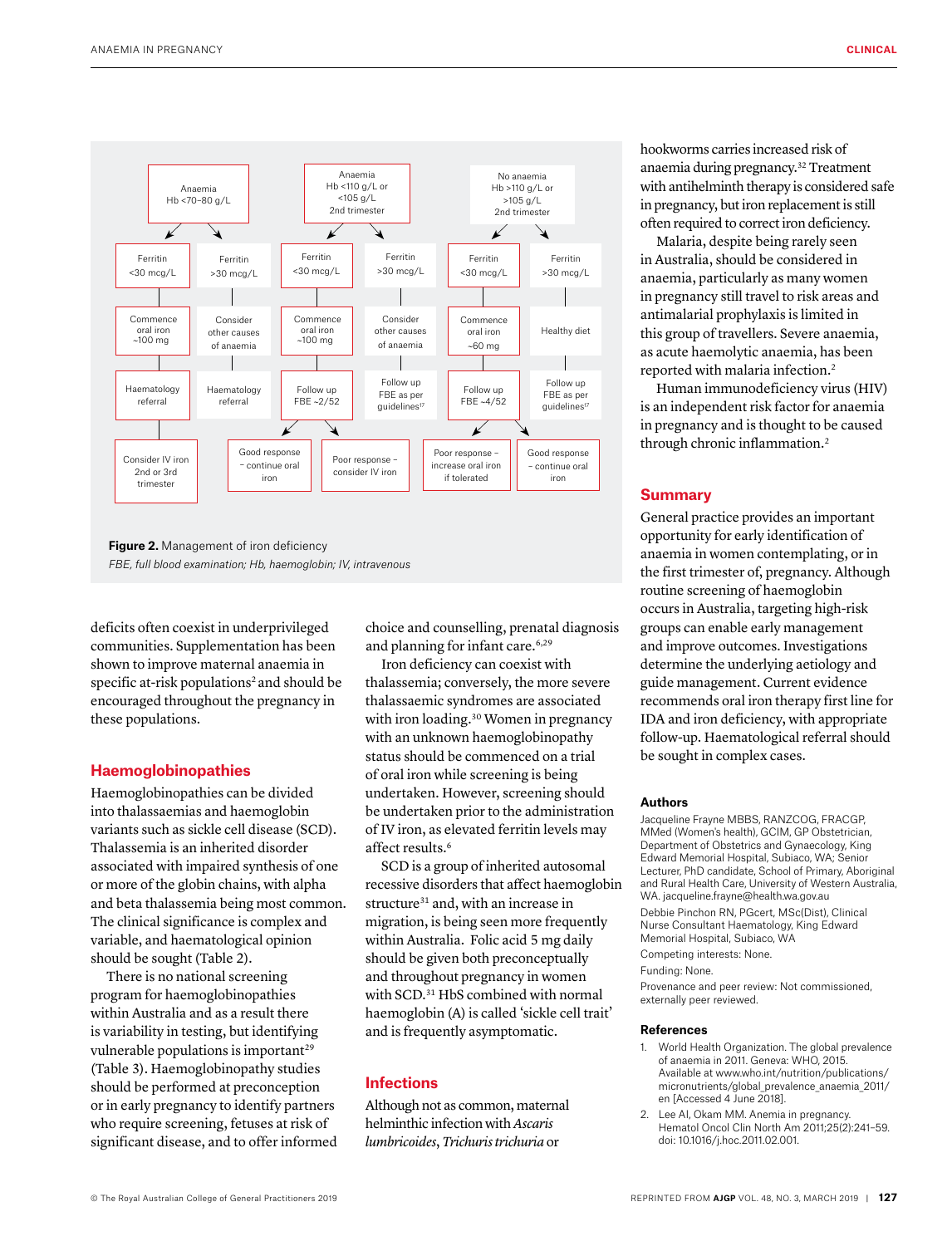

**Figure 2.** Management of iron deficiency *FBE, full blood examination; Hb, haemoglobin; IV, intravenous*

deficits often coexist in underprivileged communities. Supplementation has been shown to improve maternal anaemia in specific at-risk populations<sup>2</sup> and should be encouraged throughout the pregnancy in these populations.

## **Haemoglobinopathies**

Haemoglobinopathies can be divided into thalassaemias and haemoglobin variants such as sickle cell disease (SCD). Thalassemia is an inherited disorder associated with impaired synthesis of one or more of the globin chains, with alpha and beta thalassemia being most common. The clinical significance is complex and variable, and haematological opinion should be sought (Table 2).

There is no national screening program for haemoglobinopathies within Australia and as a result there is variability in testing, but identifying vulnerable populations is important<sup>29</sup> (Table 3). Haemoglobinopathy studies should be performed at preconception or in early pregnancy to identify partners who require screening, fetuses at risk of significant disease, and to offer informed choice and counselling, prenatal diagnosis and planning for infant care.<sup>6,29</sup>

Iron deficiency can coexist with thalassemia; conversely, the more severe thalassaemic syndromes are associated with iron loading.<sup>30</sup> Women in pregnancy with an unknown haemoglobinopathy status should be commenced on a trial of oral iron while screening is being undertaken. However, screening should be undertaken prior to the administration of IV iron, as elevated ferritin levels may affect results.<sup>6</sup>

SCD is a group of inherited autosomal recessive disorders that affect haemoglobin structure<sup>31</sup> and, with an increase in migration, is being seen more frequently within Australia. Folic acid 5 mg daily should be given both preconceptually and throughout pregnancy in women with SCD.31 HbS combined with normal haemoglobin (A) is called 'sickle cell trait' and is frequently asymptomatic.

# **Infections**

Although not as common, maternal helminthic infection with *Ascaris lumbricoides*, *Trichuris trichuria* or

hookworms carries increased risk of anaemia during pregnancy.32 Treatment with antihelminth therapy is considered safe in pregnancy, but iron replacement is still often required to correct iron deficiency.

Malaria, despite being rarely seen in Australia, should be considered in anaemia, particularly as many women in pregnancy still travel to risk areas and antimalarial prophylaxis is limited in this group of travellers. Severe anaemia, as acute haemolytic anaemia, has been reported with malaria infection.2

Human immunodeficiency virus (HIV) is an independent risk factor for anaemia in pregnancy and is thought to be caused through chronic inflammation.<sup>2</sup>

# **Summary**

General practice provides an important opportunity for early identification of anaemia in women contemplating, or in the first trimester of, pregnancy. Although routine screening of haemoglobin occurs in Australia, targeting high-risk groups can enable early management and improve outcomes. Investigations determine the underlying aetiology and guide management. Current evidence recommends oral iron therapy first line for IDA and iron deficiency, with appropriate follow-up. Haematological referral should be sought in complex cases.

# **Authors**

Jacqueline Frayne MBBS, RANZCOG, FRACGP, MMed (Women's health), GCIM, GP Obstetrician, Department of Obstetrics and Gynaecology, King Edward Memorial Hospital, Subiaco, WA; Senior Lecturer, PhD candidate, School of Primary, Aboriginal and Rural Health Care, University of Western Australia, WA. jacqueline.frayne@health.wa.gov.au Debbie Pinchon RN, PGcert, MSc(Dist), Clinical Nurse Consultant Haematology, King Edward Memorial Hospital, Subiaco, WA Competing interests: None.

Funding: None.

Provenance and peer review: Not commissioned, externally peer reviewed.

#### **References**

- 1. World Health Organization. The global prevalence of anaemia in 2011. Geneva: WHO, 2015. Available at www.who.int/nutrition/publications/ micronutrients/global\_prevalence\_anaemia\_2011/ en [Accessed 4 June 2018].
- 2. Lee AI, Okam MM. Anemia in pregnancy. Hematol Oncol Clin North Am 2011;25(2):241–59. doi: 10.1016/j.hoc.2011.02.001.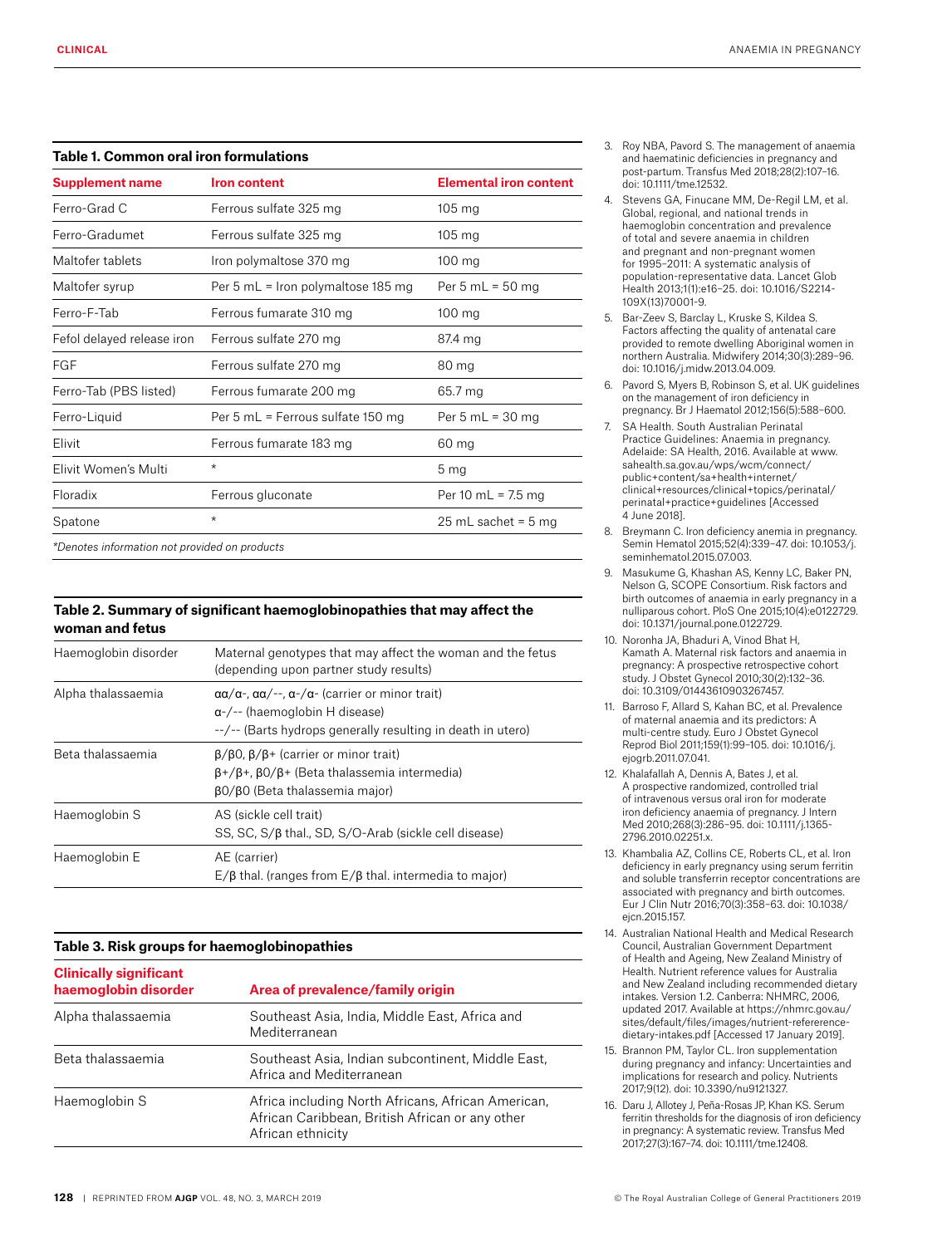# **Table 1. Common oral iron formulations**

| <b>Supplement name</b>                        | <b>Iron content</b>                | <b>Elemental iron content</b> |
|-----------------------------------------------|------------------------------------|-------------------------------|
| Ferro-Grad C                                  | Ferrous sulfate 325 mg             | $105 \text{ mg}$              |
| Ferro-Gradumet                                | Ferrous sulfate 325 mg             | $105 \text{ mg}$              |
| Maltofer tablets                              | Iron polymaltose 370 mg            | $100 \text{ mg}$              |
| Maltofer syrup                                | Per 5 mL = Iron polymaltose 185 mg | Per 5 mL = $50$ mg            |
| Ferro-F-Tab                                   | Ferrous fumarate 310 mg            | $100 \text{ mg}$              |
| Fefol delayed release iron                    | Ferrous sulfate 270 mg             | 87.4 mg                       |
| <b>FGF</b>                                    | Ferrous sulfate 270 mg             | 80 mg                         |
| Ferro-Tab (PBS listed)                        | Ferrous fumarate 200 mg            | 65.7 mg                       |
| Ferro-Liquid                                  | Per 5 mL = Ferrous sulfate 150 mg  | Per 5 mL = $30$ mg            |
| Elivit                                        | Ferrous fumarate 183 mg            | $60 \,\mathrm{mg}$            |
| Elivit Women's Multi                          | $^\star$                           | 5 <sub>mg</sub>               |
| Floradix                                      | Ferrous gluconate                  | Per 10 mL = $7.5$ mg          |
| Spatone                                       | $^\star$                           | 25 mL sachet = $5$ mg         |
| *Denotes information not provided on products |                                    |                               |

# **Table 2. Summary of significant haemoglobinopathies that may affect the woman and fetus**

| Haemoglobin disorder | Maternal genotypes that may affect the woman and the fetus<br>(depending upon partner study results)                                                                                                 |  |
|----------------------|------------------------------------------------------------------------------------------------------------------------------------------------------------------------------------------------------|--|
| Alpha thalassaemia   | $\alpha\alpha/\alpha$ -, $\alpha\alpha/$ --, $\alpha$ -/ $\alpha$ - (carrier or minor trait)<br>$\alpha$ -/-- (haemoglobin H disease)<br>--/-- (Barts hydrops generally resulting in death in utero) |  |
| Beta thalassaemia    | $\beta/\beta$ 0, $\beta/\beta$ + (carrier or minor trait)<br>$\beta$ +/ $\beta$ +, $\beta$ 0/ $\beta$ + (Beta thalassemia intermedia)<br>β0/β0 (Beta thalassemia major)                              |  |
| Haemoglobin S        | AS (sickle cell trait)<br>SS, SC, S/ $\beta$ thal., SD, S/O-Arab (sickle cell disease)                                                                                                               |  |
| Haemoglobin E        | AE (carrier)<br>$E/\beta$ thal. (ranges from $E/\beta$ thal. intermedia to major)                                                                                                                    |  |

## **Table 3. Risk groups for haemoglobinopathies**

| <b>Clinically significant</b><br>haemoglobin disorder | Area of prevalence/family origin                                                                                           |  |
|-------------------------------------------------------|----------------------------------------------------------------------------------------------------------------------------|--|
| Alpha thalassaemia                                    | Southeast Asia, India, Middle East, Africa and<br>Mediterranean                                                            |  |
| Beta thalassaemia                                     | Southeast Asia, Indian subcontinent, Middle East,<br>Africa and Mediterranean                                              |  |
| Haemoglobin S                                         | Africa including North Africans, African American,<br>African Caribbean, British African or any other<br>African ethnicity |  |

- 3. Roy NBA, Pavord S. The management of anaemia and haematinic deficiencies in pregnancy and post-partum. Transfus Med 2018;28(2):107–16. doi: 10.1111/tme.12532.
- 4. Stevens GA, Finucane MM, De-Regil LM, et al. Global, regional, and national trends in haemoglobin concentration and prevalence of total and severe anaemia in children and pregnant and non-pregnant women for 1995–2011: A systematic analysis of population-representative data. Lancet Glob Health 2013;1(1):e16–25. doi: 10.1016/S2214- 109X(13)70001-9.
- 5. Bar-Zeev S, Barclay L, Kruske S, Kildea S. Factors affecting the quality of antenatal care provided to remote dwelling Aboriginal women in northern Australia. Midwifery 2014;30(3):289–96. doi: 10.1016/j.midw.2013.04.009.
- 6. Pavord S, Myers B, Robinson S, et al. UK guidelines on the management of iron deficiency in pregnancy. Br J Haematol 2012;156(5):588–600.
- 7. SA Health. South Australian Perinatal Practice Guidelines: Anaemia in pregnancy. Adelaide: SA Health, 2016. Available at www. sahealth.sa.gov.au/wps/wcm/connect/ public+content/sa+health+internet/ clinical+resources/clinical+topics/perinatal/ perinatal+practice+guidelines [Accessed 4 June 2018].
- 8. Breymann C. Iron deficiency anemia in pregnancy. Semin Hematol 2015;52(4):339–47. doi: 10.1053/j. seminhematol.2015.07.003.
- 9. Masukume G, Khashan AS, Kenny LC, Baker PN, Nelson G, SCOPE Consortium. Risk factors and birth outcomes of anaemia in early pregnancy in a nulliparous cohort. PloS One 2015;10(4):e0122729. doi: 10.1371/journal.pone.0122729.
- 10. Noronha JA, Bhaduri A, Vinod Bhat H, Kamath A. Maternal risk factors and anaemia in pregnancy: A prospective retrospective cohort study. J Obstet Gynecol 2010;30(2):132–36. doi: 10.3109/01443610903267457.
- 11. Barroso F, Allard S, Kahan BC, et al. Prevalence of maternal anaemia and its predictors: A multi-centre study. Euro J Obstet Gynecol Reprod Biol 2011;159(1):99–105. doi: 10.1016/j. ejogrb.2011.07.041.
- 12. Khalafallah A, Dennis A, Bates J, et al. A prospective randomized, controlled trial of intravenous versus oral iron for moderate iron deficiency anaemia of pregnancy. J Intern Med 2010;268(3):286–95. doi: 10.1111/j.1365- 2796.2010.02251.x.
- 13. Khambalia AZ, Collins CE, Roberts CL, et al. Iron deficiency in early pregnancy using serum ferritin and soluble transferrin receptor concentrations are associated with pregnancy and birth outcomes. Eur J Clin Nutr 2016;70(3):358–63. doi: 10.1038/ ejcn.2015.157.
- 14. Australian National Health and Medical Research Council, Australian Government Department of Health and Ageing, New Zealand Ministry of Health. Nutrient reference values for Australia and New Zealand including recommended dietary intakes. Version 1.2. Canberra: NHMRC, 2006, updated 2017. Available at https://nhmrc.gov.au/ sites/default/files/images/nutrient-refererencedietary-intakes.pdf [Accessed 17 January 2019].
- 15. Brannon PM, Taylor CL. Iron supplementation during pregnancy and infancy: Uncertainties and implications for research and policy. Nutrients 2017;9(12). doi: 10.3390/nu9121327.
- 16. Daru J, Allotey J, Peña-Rosas JP, Khan KS. Serum ferritin thresholds for the diagnosis of iron deficiency in pregnancy: A systematic review. Transfus Med 2017;27(3):167–74. doi: 10.1111/tme.12408.